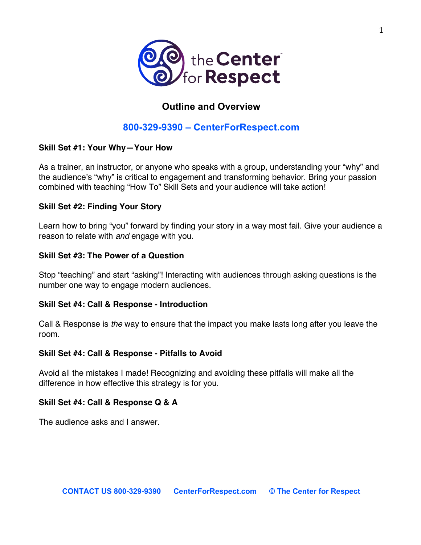

# **Outline and Overview**

# **800-329-9390 – CenterForRespect.com**

# **Skill Set #1: Your Why—Your How**

As a trainer, an instructor, or anyone who speaks with a group, understanding your "why" and the audience's "why" is critical to engagement and transforming behavior. Bring your passion combined with teaching "How To" Skill Sets and your audience will take action!

# **Skill Set #2: Finding Your Story**

Learn how to bring "you" forward by finding your story in a way most fail. Give your audience a reason to relate with *and* engage with you.

# **Skill Set #3: The Power of a Question**

Stop "teaching" and start "asking"! Interacting with audiences through asking questions is the number one way to engage modern audiences.

### **Skill Set #4: Call & Response - Introduction**

Call & Response is *the* way to ensure that the impact you make lasts long after you leave the room.

### **Skill Set #4: Call & Response - Pitfalls to Avoid**

Avoid all the mistakes I made! Recognizing and avoiding these pitfalls will make all the difference in how effective this strategy is for you.

# **Skill Set #4: Call & Response Q & A**

The audience asks and I answer.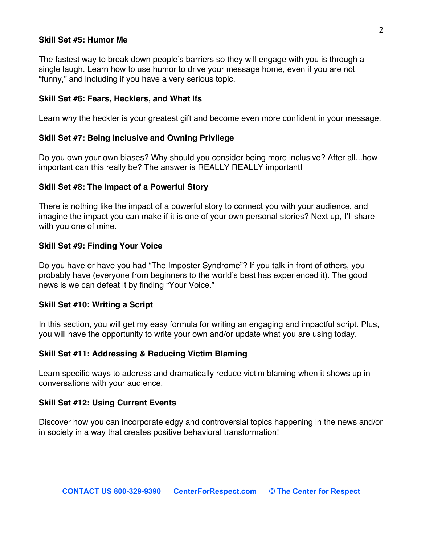### **Skill Set #5: Humor Me**

The fastest way to break down people's barriers so they will engage with you is through a single laugh. Learn how to use humor to drive your message home, even if you are not "funny," and including if you have a very serious topic.

### **Skill Set #6: Fears, Hecklers, and What Ifs**

Learn why the heckler is your greatest gift and become even more confident in your message.

### **Skill Set #7: Being Inclusive and Owning Privilege**

Do you own your own biases? Why should you consider being more inclusive? After all...how important can this really be? The answer is REALLY REALLY important!

#### **Skill Set #8: The Impact of a Powerful Story**

There is nothing like the impact of a powerful story to connect you with your audience, and imagine the impact you can make if it is one of your own personal stories? Next up, I'll share with you one of mine.

### **Skill Set #9: Finding Your Voice**

Do you have or have you had "The Imposter Syndrome"? If you talk in front of others, you probably have (everyone from beginners to the world's best has experienced it). The good news is we can defeat it by finding "Your Voice."

#### **Skill Set #10: Writing a Script**

In this section, you will get my easy formula for writing an engaging and impactful script. Plus, you will have the opportunity to write your own and/or update what you are using today.

### **Skill Set #11: Addressing & Reducing Victim Blaming**

Learn specific ways to address and dramatically reduce victim blaming when it shows up in conversations with your audience.

#### **Skill Set #12: Using Current Events**

Discover how you can incorporate edgy and controversial topics happening in the news and/or in society in a way that creates positive behavioral transformation!